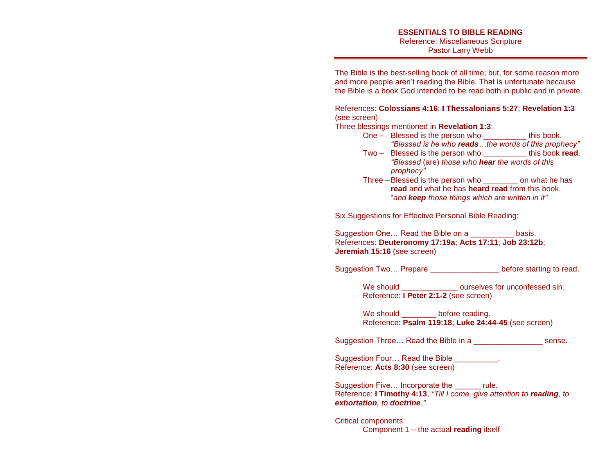#### **ESSENTIALS TO BIBLE READING** Reference: Miscellaneous Scripture Pastor Larry Webb

The Bible is the best-selling book of all time; but, for some reason more and more people aren't reading the Bible. That is unfortunate because the Bible is a book God intended to be read both in public and in private.

#### References: **Colossians 4:16**; **I Thessalonians 5:27**; **Revelation 1:3** (see screen)

Three blessings mentioned in **Revelation 1:3**:

- One Blessed is the person who \_\_\_\_\_\_\_\_\_\_ this book. *"Blessed is he who reads…the words of this prophecy"*
- Two Blessed is the person who \_\_\_\_\_\_\_\_\_\_ this book **read**. *"Blessed* (are) *those who hear the words of this prophecy"*
- Three –Blessed is the person who \_\_\_\_\_\_\_\_ on what he has **read** and what he has **heard read** from this book. "*and keep those things which are written in it"*

Six Suggestions for Effective Personal Bible Reading:

Suggestion One... Read the Bible on a **Example 2** basis. References: **Deuteronomy 17:19a**; **Acts 17:11**; **Job 23:12b**; **Jeremiah 15:16** (see screen)

Suggestion Two... Prepare **Example 20** before starting to read.

We should **We should EXECUTE:**  $\alpha$  ourselves for unconfessed sin. Reference: **I Peter 2:1-2** (see screen)

We should before reading. Reference: **Psalm 119:18**; **Luke 24:44-45** (see screen)

Suggestion Three... Read the Bible in a **Example 2** sense.

Suggestion Four... Read the Bible \_\_\_\_\_\_\_\_\_\_. Reference: **Acts 8:30** (see screen)

Suggestion Five… Incorporate the \_\_\_\_\_\_ rule. Reference: **I Timothy 4:13**, *"Till I come, give attention to reading, to exhortation, to doctrine*.*"* 

Critical components: Component 1 – the actual **reading** itself